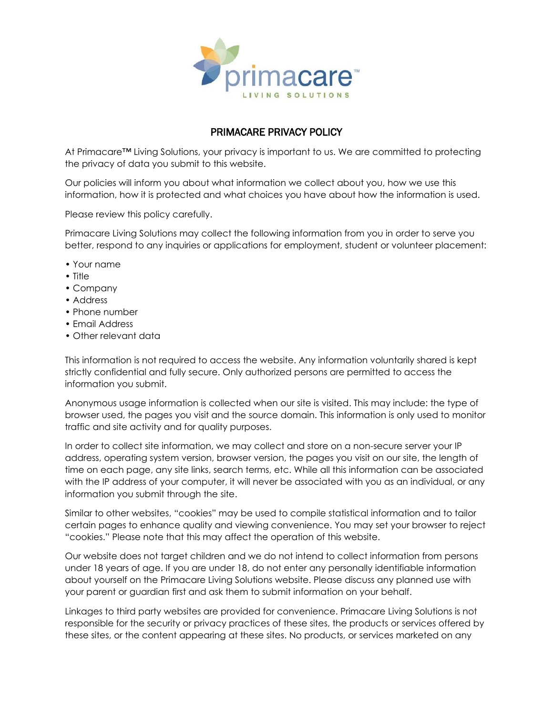

## PRIMACARE PRIVACY POLICY

At Primacare™ Living Solutions, your privacy is important to us. We are committed to protecting the privacy of data you submit to this website.

Our policies will inform you about what information we collect about you, how we use this information, how it is protected and what choices you have about how the information is used.

Please review this policy carefully.

Primacare Living Solutions may collect the following information from you in order to serve you better, respond to any inquiries or applications for employment, student or volunteer placement:

- Your name
- Title
- Company
- Address
- Phone number
- Email Address
- Other relevant data

This information is not required to access the website. Any information voluntarily shared is kept strictly confidential and fully secure. Only authorized persons are permitted to access the information you submit.

Anonymous usage information is collected when our site is visited. This may include: the type of browser used, the pages you visit and the source domain. This information is only used to monitor traffic and site activity and for quality purposes.

In order to collect site information, we may collect and store on a non-secure server your IP address, operating system version, browser version, the pages you visit on our site, the length of time on each page, any site links, search terms, etc. While all this information can be associated with the IP address of your computer, it will never be associated with you as an individual, or any information you submit through the site.

Similar to other websites, "cookies" may be used to compile statistical information and to tailor certain pages to enhance quality and viewing convenience. You may set your browser to reject "cookies." Please note that this may affect the operation of this website.

Our website does not target children and we do not intend to collect information from persons under 18 years of age. If you are under 18, do not enter any personally identifiable information about yourself on the Primacare Living Solutions website. Please discuss any planned use with your parent or guardian first and ask them to submit information on your behalf.

Linkages to third party websites are provided for convenience. Primacare Living Solutions is not responsible for the security or privacy practices of these sites, the products or services offered by these sites, or the content appearing at these sites. No products, or services marketed on any